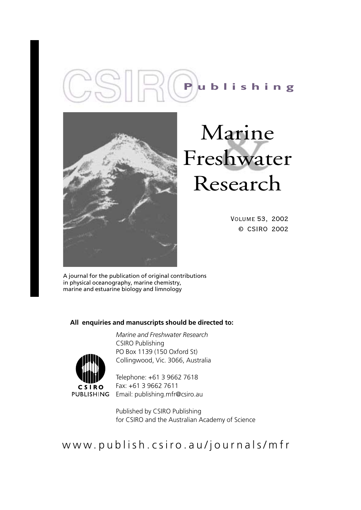



# Marine Freshwater Research

Volume 53, 2002 © CSIRO 2002

A journal for the publication of original contributions in physical oceanography, marine chemistry, marine and estuarine biology and limnology

# **All enquiries and manuscripts should be directed to:**

**CSIRO PUBLISHING** 

*Marine and Freshwater Research* CSIRO Publishing PO Box 1139 (150 Oxford St) Collingwood, Vic. 3066, Australia

Telephone: +61 3 9662 7618 Fax: +61 3 9662 7611 Email: publishing.mfr@csiro.au

Published by CSIRO Publishing for CSIRO and the Australian Academy of Science

www.publish.csiro.au/journals/mfr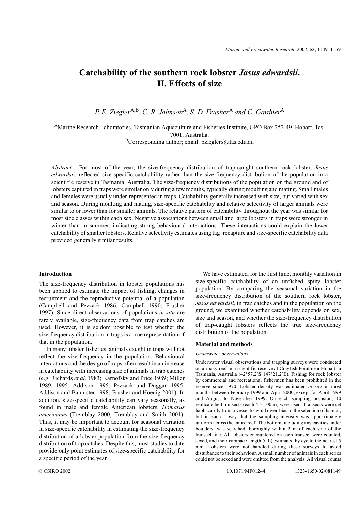# **Catchability of the southern rock lobster** *Jasus edwardsii***. II. Effects of size**

*P. E. Ziegler*<sup>A,B</sup>, *C. R. Johnson*<sup>A</sup>, *S. D. Frusher*<sup>A</sup> and *C. Gardner*<sup>A</sup>

AMarine Research Laboratories, Tasmanian Aquaculture and Fisheries Institute, GPO Box 252-49, Hobart, Tas. 7001, Australia.

 $B$ Corresponding author; email: pziegler@utas.edu.au

*Abstract.* For most of the year, the size-frequency distribution of trap-caught southern rock lobster, *Jasus edwardsii*, reflected size-specific catchability rather than the size-frequency distribution of the population in a scientific reserve in Tasmania, Australia. The size-frequency distributions of the population on the ground and of lobsters captured in traps were similar only during a few months, typically during moulting and mating. Small males and females were usually under-represented in traps. Catchability generally increased with size, but varied with sex and season. During moulting and mating, size-specific catchability and relative selectivity of larger animals were similar to or lower than for smaller animals. The relative pattern of catchability throughout the year was similar for most size classes within each sex. Negative associations between small and large lobsters in traps were stronger in winter than in summer, indicating strong behavioural interactions. These interactions could explain the lower catchability of smaller lobsters. Relative selectivity estimates using tag–recapture and size-specific catchability data provided generally similar results.

# **Introduction**

The size-frequency distribution in lobster populations has been applied to estimate the impact of fishing, changes in recruitment and the reproductive potential of a population (Campbell and Pezzack 1986; Campbell 1990; Frusher 1997). Since direct observations of populations *in situ* are rarely available, size-frequency data from trap catches are used. However, it is seldom possible to test whether the size-frequency distribution in traps is a true representation of that in the population.

In many lobster fisheries, animals caught in traps will not reflect the size-frequency in the population. Behavioural interactions and the design of traps often result in an increase in catchability with increasing size of animals in trap catches (e.g. Richards *et al*. 1983; Karnofsky and Price 1989; Miller 1989, 1995; Addison 1995; Pezzack and Duggan 1995; Addison and Bannister 1998; Frusher and Hoenig 2001). In addition, size-specific catchability can vary seasonally, as found in male and female American lobsters, *Homarus americanus* (Tremblay 2000; Tremblay and Smith 2001). Thus, it may be important to account for seasonal variation in size-specific catchability in estimating the size-frequency distribution of a lobster population from the size-frequency distribution of trap catches. Despite this, most studies to date provide only point estimates of size-specific catchability for a specific period of the year.

We have estimated, for the first time, monthly variation in size-specific catchability of an unfished spiny lobster population. By comparing the seasonal variation in the size-frequency distribution of the southern rock lobster, *Jasus edwardsii*, in trap catches and in the population on the ground, we examined whether catchability depends on sex, size and season, and whether the size-frequency distribution of trap-caught lobsters reflects the true size-frequency distribution of the population.

#### **Material and methods**

# *Underwater observations*

Underwater visual observations and trapping surveys were conducted on a rocky reef in a scientific reserve at Crayfish Point near Hobart in Tasmania, Australia (42°57.2´S 147°21.2´E). Fishing for rock lobster by commercial and recreational fishermen has been prohibited in the reserve since 1970. Lobster density was estimated *in situ* in most months between February 1999 and April 2000, except for April 1999 and August to November 1999. On each sampling occasion, 10 replicate belt transects (each  $4 \times 100$  m) were used. Transects were set haphazardly from a vessel to avoid diver-bias in the selection of habitat, but in such a way that the sampling intensity was approximately uniform across the entire reef. The bottom, including any cavities under boulders, was searched thoroughly within 2 m of each side of the transect line. All lobsters encountered on each transect were counted, sexed, and their carapace length (CL) estimated by eye to the nearest 5 mm. Lobsters were not handled during these surveys to avoid disturbance to their behaviour. A small number of animals in each series could not be sexed and were omitted from the analysis. All visual counts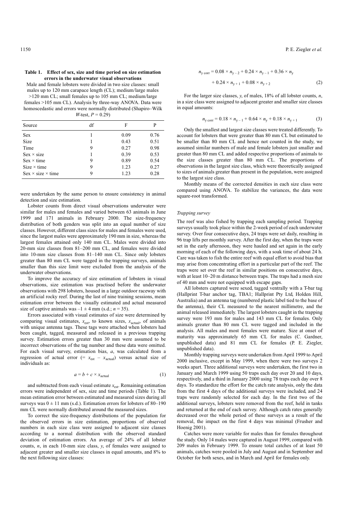#### **Table 1. Effect of sex, size and time period on size estimation errors in the underwater visual observations**

Male and female lobsters were divided in two size classes: small males up to 120 mm carapace length (CL); medium/large males >120 mm CL; small females up to 105 mm CL; medium/large females >105 mm CL). Analysis by three-way ANOVA. Data were homoscedastic and errors were normally distributed (Shapiro–Wilk *W*-test,  $P = 0.29$ 

| df | F    | P    |
|----|------|------|
|    | 0.09 | 0.76 |
|    | 0.43 | 0.51 |
| 9  | 0.27 | 0.98 |
|    | 0.39 | 0.53 |
| 9  | 0.89 | 0.54 |
| 9  | 1.23 | 0.27 |
| 9  | 1.23 | 0.28 |
|    |      |      |

were undertaken by the same person to ensure consistency in animal detection and size estimation.

Lobster counts from direct visual observations underwater were similar for males and females and varied between 63 animals in June 1999 and 171 animals in February 2000. The size-frequency distribution of both genders was split into an equal number of size classes. However, different class sizes for males and females were used, since the largest males were approximately 190 mm in size, whereas the largest females attained only 140 mm CL. Males were divided into 20-mm size classes from 81–200 mm CL, and females were divided into 10-mm size classes from 81–140 mm CL. Since only lobsters greater than 80 mm CL were tagged in the trapping surveys, animals smaller than this size limit were excluded from the analysis of the underwater observations.

To improve the accuracy of size estimation of lobsters in visual observations, size estimation was practised before the underwater observations with 298 lobsters, housed in a large outdoor raceway with an artificial rocky reef. During the last of nine training sessions, mean estimation error between the visually estimated and actual measured size of captive animals was  $-1 \pm 4$  mm (s.d.;  $n = 35$ ).

Errors associated with visual estimates of size were determined by comparing visual estimates,  $x_{est}$ , to known sizes,  $x_{actual}$ , of animals with unique antenna tags. These tags were attached when lobsters had been caught, tagged, measured and released in a previous trapping survey. Estimation errors greater than 30 mm were assumed to be incorrect observations of the tag number and these data were omitted. For each visual survey, estimation bias, *a*, was calculated from a regression of actual error (=  $x_{est} - x_{actual}$ ) versus actual size of individuals as:

$$
a = b + c \times x_{\text{actual}} \tag{1}
$$

and subtracted from each visual estimate  $x_{est}$ . Remaining estimation errors were independent of sex, size and time periods (Table 1). The mean estimation error between estimated and measured sizes during all surveys was  $0 \pm 11$  mm (s.d.). Estimation errors for lobsters of 80–190 mm CL were normally distributed around the measured sizes.

To correct the size-frequency distributions of the population for the observed errors in size estimation, proportions of observed numbers in each size class were assigned to adjacent size classes according to a normal distribution with the observed standard deviation of estimation errors. An average of 24% of all lobster counts, *n*, in each 10-mm size class, *y*, of females were assigned to adjacent greater and smaller size classes in equal amounts, and 8% to the next following size classes:

$$
n_{\text{y corr}} = 0.08 \times n_{\text{y-2}} + 0.24 \times n_{\text{y-1}} + 0.36 \times n_{\text{y}}
$$
  
+ 0.24 × n\_{\text{y+1}} + 0.08 × n\_{\text{y+2}} (2)

For the larger size classes, *y*, of males, 18% of all lobster counts, *n*, in a size class were assigned to adjacent greater and smaller size classes in equal amounts:

$$
n_{\text{y corr}} = 0.18 \times n_{\text{y}-1} + 0.64 \times n_{\text{y}} + 0.18 \times n_{\text{y}+1} \tag{3}
$$

Only the smallest and largest size classes were treated differently. To account for lobsters that were greater than 80 mm CL but estimated to be smaller than 80 mm CL and hence not counted in the study, we assumed similar numbers of male and female lobsters just smaller and greater than 80 mm CL and added respective proportions of animals to the size classes greater than 80 mm CL. The proportions of observations in the largest size class, which were theoretically assigned to sizes of animals greater than present in the population, were assigned to the largest size class.

Monthly means of the corrected densities in each size class were compared using ANOVA. To stabilize the variances, the data were square-root transformed.

#### *Trapping survey*

The reef was also fished by trapping each sampling period. Trapping surveys usually took place within the 2-week period of each underwater survey. Over four consecutive days, 24 traps were set daily, resulting in 96 trap lifts per monthly survey. After the first day, when the traps were set in the early afternoon, they were hauled and set again in the early morning of each of the following days, with a soak time of about 24 h. Care was taken to fish the entire reef with equal effort to avoid bias that may arise from concentrating effort in a particular part of the reef. The traps were set over the reef in similar positions on consecutive days, with at least 10–20 m distance between traps. The traps had a mesh size of 40 mm and were not equipped with escape gaps.

All lobsters captured were sexed, tagged ventrally with a T-bar tag (Hallprint T-bar anchor tag, TBA1; Hallprint Pty Ltd, Holden Hill, Australia) and an antenna tag (numbered plastic label tied to the base of the antenna), their CL measured to the nearest millimetre, and the animal released immediately. The largest lobsters caught in the trapping survey were 193 mm for males and 143 mm CL for females. Only animals greater than 80 mm CL were tagged and included in the analysis. All males and most females were mature. Size at onset of maturity was approximately 65 mm CL for males (C. Gardner, unpublished data) and 81 mm CL for females (P. E. Ziegler, unpublished data).

Monthly trapping surveys were undertaken from April 1999 to April 2000 inclusive, except in May 1999, when there were two surveys 2 weeks apart. Three additional surveys were undertaken, the first two in January and March 1999 using 50 traps each day over 20 and 10 days, respectively, and a third in January 2000 using 78 traps each day over 8 days. To standardize the effort for the catch rate analysis, only the data from the first 4 days of the additional surveys were included, and 24 traps were randomly selected for each day. In the first two of the additional surveys, lobsters were removed from the reef, held in tanks and returned at the end of each survey. Although catch rates generally decreased over the whole period of these surveys as a result of the removal, the impact on the first 4 days was minimal (Frusher and Hoenig 2001).

Catches were more variable for males than for females throughout the study. Only 14 males were captured in August 1999, compared with 209 males in February 1999. To ensure total catches of at least 50 animals, catches were pooled in July and August and in September and October for both sexes, and in March and April for females only.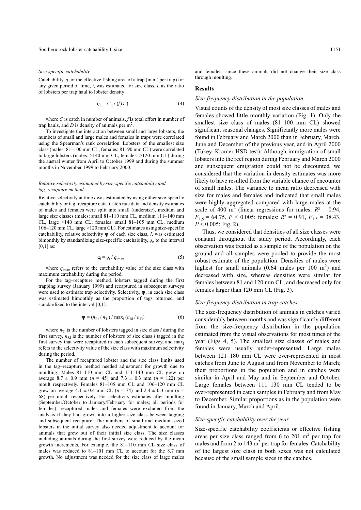#### *Size-specific catchability*

Catchability,  $q$ , or the effective fishing area of a trap (in  $m<sup>2</sup>$  per trap) for any given period of time, *t*, was estimated for size class, *l*, as the ratio of lobsters per trap haul to lobster density:

$$
q_{\rm lt} = C_{\rm lt} / \left( f_{\rm t} D_{\rm lt} \right) \tag{4}
$$

where *C* is catch in number of animals, *f* is total effort in number of trap hauls, and  $D$  is density of animals per  $m^2$ .

To investigate the interaction between small and large lobsters, the numbers of small and large males and females in traps were correlated using the Spearman's rank correlation. Lobsters of the smallest size class (males: 81–100 mm CL, females: 81–90 mm CL) were correlated to large lobsters (males: >140 mm CL, females: >120 mm CL) during the austral winter from April to October 1999 and during the summer months in November 1999 to February 2000.

#### *Relative selectivity estimated by size-specific catchability and tag–recapture method*

Relative selectivity at time *t* was estimated by using either size-specific catchability or tag–recapture data. Catch rate data and density estimates of males and females were split into small (undersize), medium and large size classes (males: small 81–110 mm CL, medium 111–140 mm CL, large >140 mm CL; females: small 81–105 mm CL, medium 106–120 mm CL, large >120 mm CL). For estimates using size-specific catchability, relative selectivity  $\phi$ <sup>1</sup> of each size class, *l*, was estimated bimonthly by standardizing size-specific catchability,  $q_1$ , to the interval  $[0,1]$  as:

$$
\phi_{\rm l} = q_{\rm l} / q_{\rm lmax} \tag{5}
$$

where  $q_{\text{lmax}}$  refers to the catchability value of the size class with maximum catchability during the period.

For the tag–recapture method, lobsters tagged during the first trapping survey (January 1999) and recaptured in subsequent surveys were used to estimate trap selectivity. Selectivity,  $\phi_i$ , in each size class was estimated bimonthly as the proportion of tags returned, and standardized to the interval [0,1]:

$$
\phi_{\rm l} = (n_{\rm Rl} / n_{\rm Tl}) / \max_{\rm l} (n_{\rm Rl} / n_{\rm Tl}) \tag{6}
$$

where  $n<sub>Tl</sub>$  is the number of lobsters tagged in size class *l* during the first survey,  $n_{\text{R1}}$  is the number of lobsters of size class *l* tagged in the first survey that were recaptured in each subsequent survey, and  $max<sub>1</sub>$ refers to the selectivity value of the size class with maximum selectivity during the period.

The number of recaptured lobster and the size class limits used in the tag–recapture method needed adjustment for growth due to moulting. Males 81–110 mm CL and 111–140 mm CL grew on average  $8.7 \pm 0.9$  mm ( $n = 45$ ) and  $7.3 \pm 0.3$  mm ( $n = 122$ ) per moult respectively. Females 81–105 mm CL and 106–120 mm CL grew on average 4.1  $\pm$  0.4 mm CL ( $n = 74$ ) and 2.4  $\pm$  0.3 mm ( $n =$ 68) per moult respectively. For selectivity estimates after moulting (September/October to January/February for males; all periods for females), recaptured males and females were excluded from the analysis if they had grown into a higher size class between tagging and subsequent recapture. The numbers of small and medium-sized lobsters in the initial survey also needed adjustment to account for animals that grew out of their initial size class. The size classes including animals during the first survey were reduced by the mean growth increments. For example, the 81–110 mm CL size class of males was reduced to 81–101 mm CL to account for the 8.7 mm growth. No adjustment was needed for the size class of large males and females, since these animals did not change their size class through moulting.

#### **Results**

#### *Size-frequency distribution in the population*

Visual counts of the density of most size classes of males and females showed little monthly variation (Fig. 1). Only the smallest size class of males (81–100 mm CL) showed significant seasonal changes. Significantly more males were found in February and March 2000 than in February, March, June and December of the previous year, and in April 2000 (Tukey–Kramer HSD test). Although immigration of small lobsters into the reef region during February and March 2000 and subsequent emigration could not be discounted, we considered that the variation in density estimates was more likely to have resulted from the variable chance of encounter of small males. The variance to mean ratio decreased with size for males and females and indicated that small males were highly aggregated compared with large males at the scale of 400 m<sup>2</sup> (linear regressions for males:  $R^2 = 0.94$ ,  $F_{1,5} = 64.75$ ,  $P < 0.005$ ; females:  $R^2 = 0.91$ ,  $F_{1,5} = 38.43$ ,  $P < 0.005$ ; Fig. 2).

Thus, we considered that densities of all size classes were constant throughout the study period. Accordingly, each observation was treated as a sample of the population on the ground and all samples were pooled to provide the most robust estimate of the population. Densities of males were highest for small animals  $(0.64 \text{ males per } 100 \text{ m}^2)$  and decreased with size, whereas densities were similar for females between 81 and 120 mm CL, and decreased only for females larger than 120 mm CL (Fig. 3).

#### *Size-frequency distribution in trap catches*

The size-frequency distribution of animals in catches varied considerably between months and was significantly different from the size-frequency distribution in the population estimated from the visual observations for most times of the year (Figs 4, 5). The smallest size classes of males and females were usually under-represented. Large males between 121–180 mm CL were over-represented in most catches from June to August and from November to March; their proportions in the population and in catches were similar in April and May and in September and October. Large females between 111–130 mm CL tended to be over-represented in catch samples in February and from May to December. Similar proportions as in the population were found in January, March and April.

# *Size-specific catchability over the year*

Size-specific catchability coefficients or effective fishing areas per size class ranged from 6 to 201  $m<sup>2</sup>$  per trap for males and from 2 to 143  $m^2$  per trap for females. Catchability of the largest size class in both sexes was not calculated because of the small sample sizes in the catches.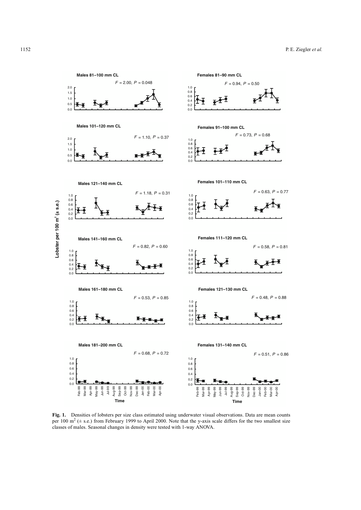

**Fig. 1.** Densities of lobsters per size class estimated using underwater visual observations. Data are mean counts per 100  $m^2$  ( $\pm$  s.e.) from February 1999 to April 2000. Note that the y-axis scale differs for the two smallest size classes of males. Seasonal changes in density were tested with 1-way ANOVA.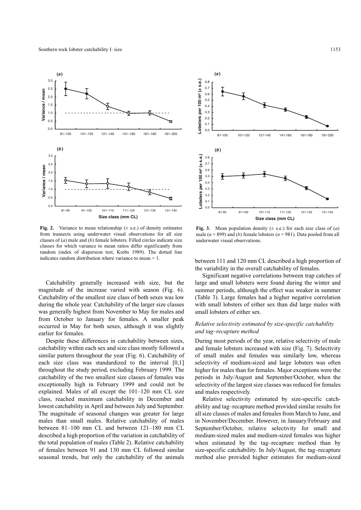

**Fig. 2.** Variance to mean relationship  $(\pm s.e.)$  of density estimates from transects using underwater visual observations for all size classes of (*a*) male and (*b*) female lobsters. Filled circles indicate size classes for which variance to mean ratios differ significantly from random (index of dispersion test, Krebs 1989). The dotted line indicates random distribution where variance to mean = 1.

Catchability generally increased with size, but the magnitude of the increase varied with season (Fig. 6). Catchability of the smallest size class of both sexes was low during the whole year. Catchability of the larger size classes was generally highest from November to May for males and from October to January for females. A smaller peak occurred in May for both sexes, although it was slightly earlier for females.

Despite these differences in catchability between sizes, catchability within each sex and size class mostly followed a similar pattern throughout the year (Fig. 6). Catchability of each size class was standardized to the interval [0,1] throughout the study period, excluding February 1999. The catchability of the two smallest size classes of females was exceptionally high in February 1999 and could not be explained. Males of all except the 101–120 mm CL size class, reached maximum catchability in December and lowest catchability in April and between July and September. The magnitude of seasonal changes was greater for large males than small males. Relative catchability of males between 81–100 mm CL and between 121–180 mm CL described a high proportion of the variation in catchability of the total population of males (Table 2). Relative catchability of females between 91 and 130 mm CL followed similar seasonal trends, but only the catchability of the animals



**Fig. 3.** Mean population density  $(\pm s.e.)$  for each size class of  $(a)$ male  $(n = 899)$  and *(b)* female lobsters  $(n = 981)$ . Data pooled from all underwater visual observations.

between 111 and 120 mm CL described a high proportion of the variability in the overall catchability of females.

Significant negative correlations between trap catches of large and small lobsters were found during the winter and summer periods, although the effect was weaker in summer (Table 3). Large females had a higher negative correlation with small lobsters of either sex than did large males with small lobsters of either sex.

# *Relative selectivity estimated by size-specific catchability and tag–recapture method*

During most periods of the year, relative selectivity of male and female lobsters increased with size (Fig. 7). Selectivity of small males and females was similarly low, whereas selectivity of medium-sized and large lobsters was often higher for males than for females. Major exceptions were the periods in July/August and September/October, when the selectivity of the largest size classes was reduced for females and males respectively.

Relative selectivity estimated by size-specific catchability and tag–recapture method provided similar results for all size classes of males and females from March to June, and in November/December. However, in January/February and September/October, relative selectivity for small and medium-sized males and medium-sized females was higher when estimated by the tag–recapture method than by size-specific catchability. In July/August, the tag–recapture method also provided higher estimates for medium-sized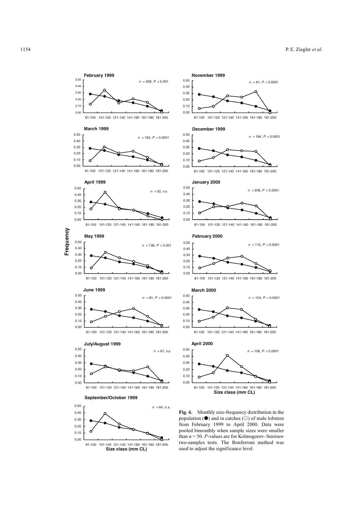*n* = 184, *P* < 0.0001

*n* = 91, *P* < 0.0001

*n* = 208, *P* < 0.0001

*n* = 110, *P* < 0.0001

*n* = 154, *P* < 0.0001

 $n = 106, P < 0.0001$ 



81-100 101-120 121-140 141-160 161-180 181-200 **Size class (mm CL)**

population  $(\bullet)$  and in catches  $(\circ)$  of male lobsters from February 1999 to April 2000. Data were pooled bimonthly when sample sizes were smaller than  $n = 50$ . *P*-values are for Kolmogorov–Smirnov two-samples tests. The Bonferroni method was used to adjust the significance level.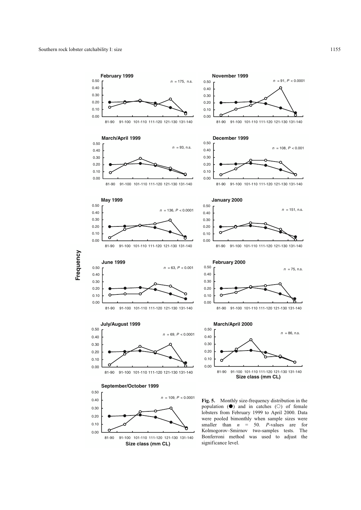**Frequency**

Frequency

0.00

81-90 91-100 101-110 111-120 121-130 131-140 **Size class (mm CL)**



lobsters from February 1999 to April 2000. Data were pooled bimonthly when sample sizes were smaller than  $n = 50$ . *P*-values are for Kolmogorov–Smirnov two-samples tests. The Bonferroni method was used to adjust the significance level.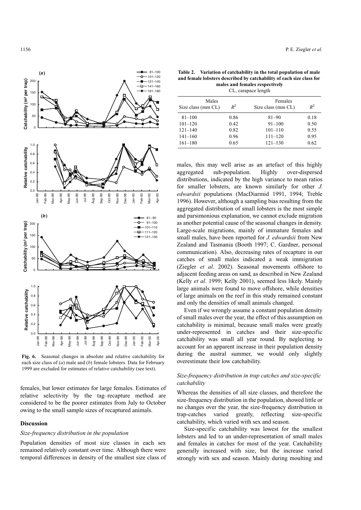

**Fig. 6.** Seasonal changes in absolute and relative catchability for each size class of (*a*) male and (*b*) female lobsters. Data for February 1999 are excluded for estimates of relative catchability (see text).

females, but lower estimates for large females. Estimates of relative selectivity by the tag–recapture method are considered to be the poorer estimates from July to October owing to the small sample sizes of recaptured animals.

## **Discussion**

#### *Size-frequency distribution in the population*

Population densities of most size classes in each sex remained relatively constant over time. Although there were temporal differences in density of the smallest size class of

**Table 2. Variation of catchability in the total population of male and female lobsters described by catchability of each size class for males and females respectively** CL, carapace length

| Males<br>$R^2$<br>Size class (mm CL) |                                                       | $R^2$                                        |  |  |  |  |  |  |
|--------------------------------------|-------------------------------------------------------|----------------------------------------------|--|--|--|--|--|--|
| 0.86<br>0.42<br>0.82<br>0.96         | $81 - 90$<br>$91 - 100$<br>$101 - 110$<br>$111 - 120$ | 0.18<br>0.50<br>0.55<br>0.95                 |  |  |  |  |  |  |
|                                      |                                                       | 0.62                                         |  |  |  |  |  |  |
|                                      | 0.65                                                  | Females<br>Size class (mm CL)<br>$121 - 130$ |  |  |  |  |  |  |

males, this may well arise as an artefact of this highly aggregated sub-population. Highly over-dispersed distributions, indicated by the high variance to mean ratios for smaller lobsters, are known similarly for other *J. edwardsii* populations (MacDiarmid 1991, 1994; Treble 1996). However, although a sampling bias resulting from the aggregated distribution of small lobsters is the most simple and parsimonious explanation, we cannot exclude migration as another potential cause of the seasonal changes in density. Large-scale migrations, mainly of immature females and small males, have been reported for *J. edwardsii* from New Zealand and Tasmania (Booth 1997; C. Gardner, personal communication). Also, decreasing rates of recapture in our catches of small males indicated a weak immigration (Ziegler *et al*. 2002). Seasonal movements offshore to adjacent feeding areas on sand, as described in New Zealand (Kelly *et al*. 1999; Kelly 2001), seemed less likely. Mainly large animals were found to move offshore, while densities of large animals on the reef in this study remained constant and only the densities of small animals changed.

Even if we wrongly assume a constant population density of small males over the year, the effect of this assumption on catchability is minimal, because small males were greatly under-represented in catches and their size-specific catchability was small all year round. By neglecting to account for an apparent increase in their population density during the austral summer, we would only slightly overestimate their low catchability.

# *Size-frequency distribution in trap catches and size-specific catchability*

Whereas the densities of all size classes, and therefore the size-frequency distribution in the population, showed little or no changes over the year, the size-frequency distribution in trap-catches varied greatly, reflecting size-specific catchability, which varied with sex and season.

Size-specific catchability was lowest for the smallest lobsters and led to an under-representation of small males and females in catches for most of the year. Catchability generally increased with size, but the increase varied strongly with sex and season. Mainly during moulting and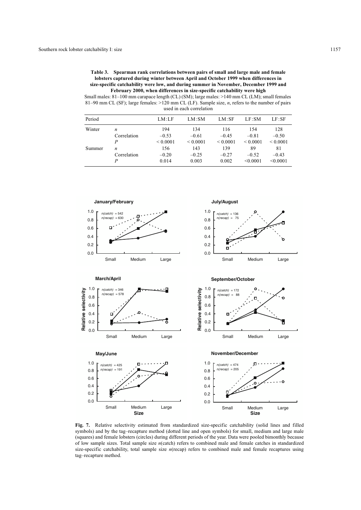| Table 3. | Spearman rank correlations between pairs of small and large male and female           |
|----------|---------------------------------------------------------------------------------------|
|          | lobsters captured during winter between April and October 1999 when differences in    |
|          | size-specific catchability were low, and during summer in November, December 1999 and |
|          | February 2000, when differences in size-specific catchability were high               |

Small males: 81–100 mm carapace length (CL) (SM); large males: >140 mm CL (LM); small females 81–90 mm CL (SF); large females: >120 mm CL (LF). Sample size, *n*, refers to the number of pairs used in each correlation

| Period |                  | LM:LF         | LM:SM         | LM:SF        | LF:SM         | LF:SF        |
|--------|------------------|---------------|---------------|--------------|---------------|--------------|
| Winter | n                | 194           | 134           | 116          | 1.54          | 128          |
|        | Correlation      | $-0.53$       | $-0.61$       | $-0.45$      | $-0.81$       | $-0.50$      |
|        | P                | ${}_{0.0001}$ | ${}_{0.0001}$ | ${}_{0.001}$ | ${}_{0.0001}$ | ${}_{0.001}$ |
| Summer | $\boldsymbol{n}$ | 156           | 143           | 139          | 89            | 81           |
|        | Correlation      | $-0.20$       | $-0.25$       | $-0.27$      | $-0.52$       | $-0.43$      |
|        |                  | 0.014         | 0.003         | 0.002        | < 0.0001      | < 0.0001     |



**Fig. 7.** Relative selectivity estimated from standardized size-specific catchability (solid lines and filled symbols) and by the tag–recapture method (dotted line and open symbols) for small, medium and large male (squares) and female lobsters (circles) during different periods of the year. Data were pooled bimonthly because of low sample sizes. Total sample size *n*(catch) refers to combined male and female catches in standardized size-specific catchability, total sample size *n*(recap) refers to combined male and female recaptures using tag–recapture method.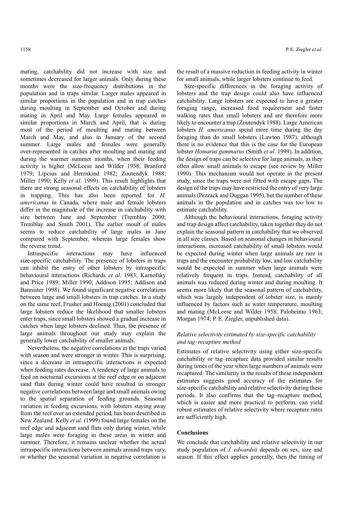mating, catchability did not increase with size and sometimes decreased for larger animals. Only during these months were the size-frequency distributions in the population and in traps similar. Larger males appeared in similar proportions in the population and in trap catches during moulting in September and October and during mating in April and May. Large females appeared in similar proportions in March and April, that is during most of the period of moulting and mating between March and May, and also in January of the second summer. Large males and females were generally over-represented in catches after moulting and mating and during the warmer summer months, when their feeding activity is higher (McLeese and Wilder 1958; Branford 1979; Lipcius and Herrnkind 1982; Zoutendyk 1988; Miller 1990; Kelly *et al*. 1999). This result highlights that there are strong seasonal effects on catchability of lobsters in trapping. This has also been reported for *H. americanus* in Canada, where male and female lobsters differ in the magnitude of the increase in catchability with size between June and September (Tremblay 2000; Tremblay and Smith 2001). The earlier moult of males seems to reduce catchability of large males in June compared with September, whereas large females show the reverse trend.

Intraspecific interactions may have influenced size-specific catchability. The presence of lobsters in traps can inhibit the entry of other lobsters by intraspecific behavioural interactions (Richards *et al*. 1983; Karnofsky and Price 1989; Miller 1990; Addison 1995; Addison and Bannister 1998). We found significant negative correlations between large and small lobsters in trap catches. In a study on the same reef, Frusher and Hoenig (2001) concluded that large lobsters reduce the likelihood that smaller lobsters enter traps, since small lobsters showed a gradual increase in catches when large lobsters declined. Thus, the presence of large animals throughout our study may explain the generally lower catchability of smaller animals.

Nevertheless, the negative correlations in the traps varied with season and were stronger in winter. This is surprising, since a decrease in intraspecific interactions is expected when feeding rates decrease. A tendency of large animals to feed on nocturnal excursions at the reef edge or on adjacent sand flats during winter could have resulted in stronger negative correlations between large and small animals owing to the spatial separation of feeding grounds. Seasonal variation in feeding excursions, with lobsters staying away from the reef over an extended period, has been described in New Zealand. Kelly *et al*. (1999) found large females on the reef edge and adjacent sand flats only during winter, while large males were foraging in these areas in winter and summer. Therefore, it remains unclear whether the actual intraspecific interactions between animals around traps vary, or whether the seasonal variation in negative correlation is

the result of a massive reduction in feeding activity in winter for small animals, while larger lobsters continue to feed.

Size-specific differences in the foraging activity of lobsters and the trap design could also have influenced catchability. Large lobsters are expected to have a greater foraging range, increased food requirement and faster walking rates than small lobsters and are therefore more likely to encounter a trap (Zoutendyk 1988). Large American lobsters *H. americanus* spend more time during the day foraging than do small lobsters (Lawton 1987), although there is no evidence that this is the case for the European lobster *Homarus gammarus* (Smith *et al*. 1999). In addition, the design of traps can be selective for large animals, as they often allow small animals to escape (see review by Miller 1990). This mechanism would not operate in the present study, since the traps were not fitted with escape gaps. The design of the traps may have restricted the entry of very large animals (Pezzack and Duggan 1995), but the number of these animals in the population and in catches was too low to estimate catchability.

Although the behavioural interactions, foraging activity and trap design affect catchability, taken together they do not explain the seasonal pattern in catchability that we observed in all size classes. Based on seasonal changes in behavioural interactions, increased catchability of small lobsters would be expected during winter when large animals are rare in traps and the encounter probability low, and low catchability would be expected in summer when large animals were relatively frequent in traps. Instead, catchability of all animals was reduced during winter and during moulting. It seems more likely that the seasonal pattern of catchability, which was largely independent of lobster size, is mainly influenced by factors such as water temperature, moulting and mating (McLeese and Wilder 1958; Paloheimo 1963; Morgan 1974; P. E. Ziegler, unpublished data).

# *Relative selectivity estimated by size-specific catchability and tag–recapture method*

Estimates of relative selectivity using either size-specific catchability or tag–recapture data provided similar results during times of the year when large numbers of animals were recaptured. The similarity in the results of these independent estimates suggests good accuracy of the estimates for size-specific catchability and relative selectivity during these periods. It also confirms that the tag–recapture method, which is easier and more practical to perform, can yield robust estimates of relative selectivity where recapture rates are sufficiently high.

# **Conclusions**

We conclude that catchability and relative selectivity in our study population of *J. edwardsii* depends on sex, size and season. If this effect applies generally, then the timing of